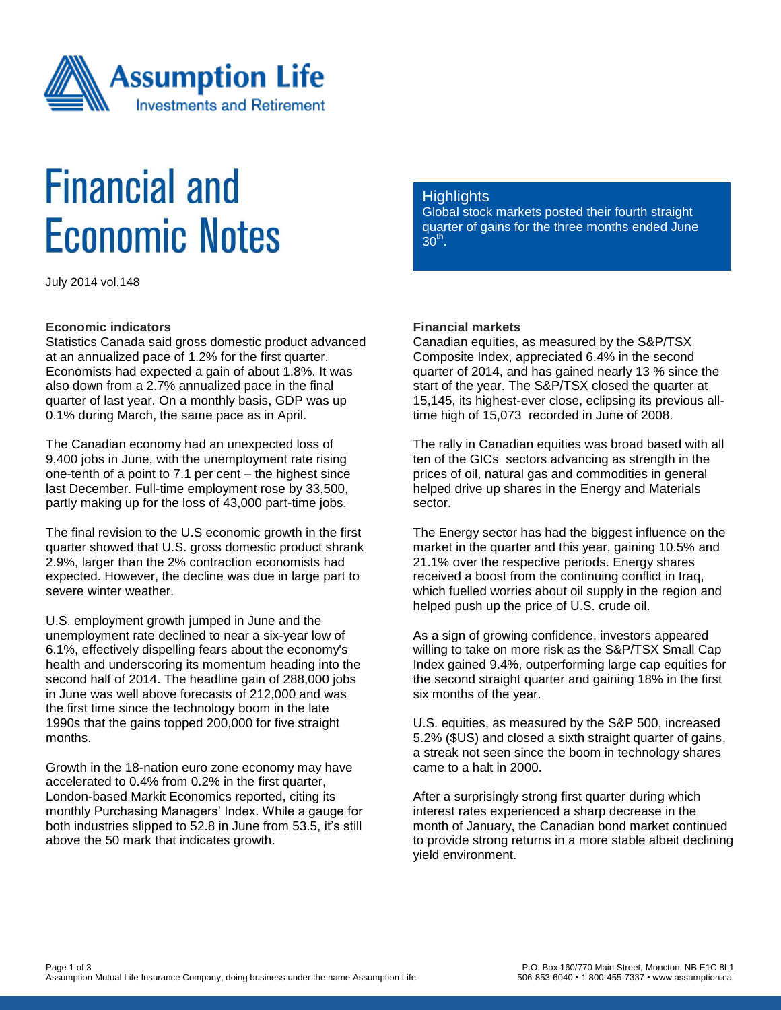

# **Financial and Economic Notes**

July 2014 vol.148

#### **Economic indicators**

Statistics Canada said gross domestic product advanced at an annualized pace of 1.2% for the first quarter. Economists had expected a gain of about 1.8%. It was also down from a 2.7% annualized pace in the final quarter of last year. On a monthly basis, GDP was up 0.1% during March, the same pace as in April.

The Canadian economy had an unexpected loss of 9,400 jobs in June, with the unemployment rate rising one-tenth of a point to 7.1 per cent – the highest since last December. Full-time employment rose by 33,500, partly making up for the loss of 43,000 part-time jobs.

The final revision to the U.S economic growth in the first quarter showed that U.S. gross domestic product shrank 2.9%, larger than the 2% contraction economists had expected. However, the decline was due in large part to severe winter weather.

U.S. employment growth jumped in June and the unemployment rate declined to near a six-year low of 6.1%, effectively dispelling fears about the economy's health and underscoring its momentum heading into the second half of 2014. The headline gain of 288,000 jobs in June was well above forecasts of 212,000 and was the first time since the technology boom in the late 1990s that the gains topped 200,000 for five straight months.

Growth in the 18-nation euro zone economy may have accelerated to 0.4% from 0.2% in the first quarter, London-based Markit Economics reported, citing its monthly Purchasing Managers' Index. While a gauge for both industries slipped to 52.8 in June from 53.5, it's still above the 50 mark that indicates growth.

### **Highlights**

Global stock markets posted their fourth straight quarter of gains for the three months ended June  $30<sup>th</sup>$ .

## **Financial markets**

Canadian equities, as measured by the S&P/TSX Composite Index, appreciated 6.4% in the second quarter of 2014, and has gained nearly 13 % since the start of the year. The S&P/TSX closed the quarter at 15,145, its highest-ever close, eclipsing its previous alltime high of 15,073 recorded in June of 2008.

The rally in Canadian equities was broad based with all ten of the GICs sectors advancing as strength in the prices of oil, natural gas and commodities in general helped drive up shares in the Energy and Materials sector.

The Energy sector has had the biggest influence on the market in the quarter and this year, gaining 10.5% and 21.1% over the respective periods. Energy shares received a boost from the continuing conflict in Iraq, which fuelled worries about oil supply in the region and helped push up the price of U.S. crude oil.

As a sign of growing confidence, investors appeared willing to take on more risk as the S&P/TSX Small Cap Index gained 9.4%, outperforming large cap equities for the second straight quarter and gaining 18% in the first six months of the year.

U.S. equities, as measured by the S&P 500, increased 5.2% (\$US) and closed a sixth straight quarter of gains, a streak not seen since the boom in technology shares came to a halt in 2000.

After a surprisingly strong first quarter during which interest rates experienced a sharp decrease in the month of January, the Canadian bond market continued to provide strong returns in a more stable albeit declining yield environment.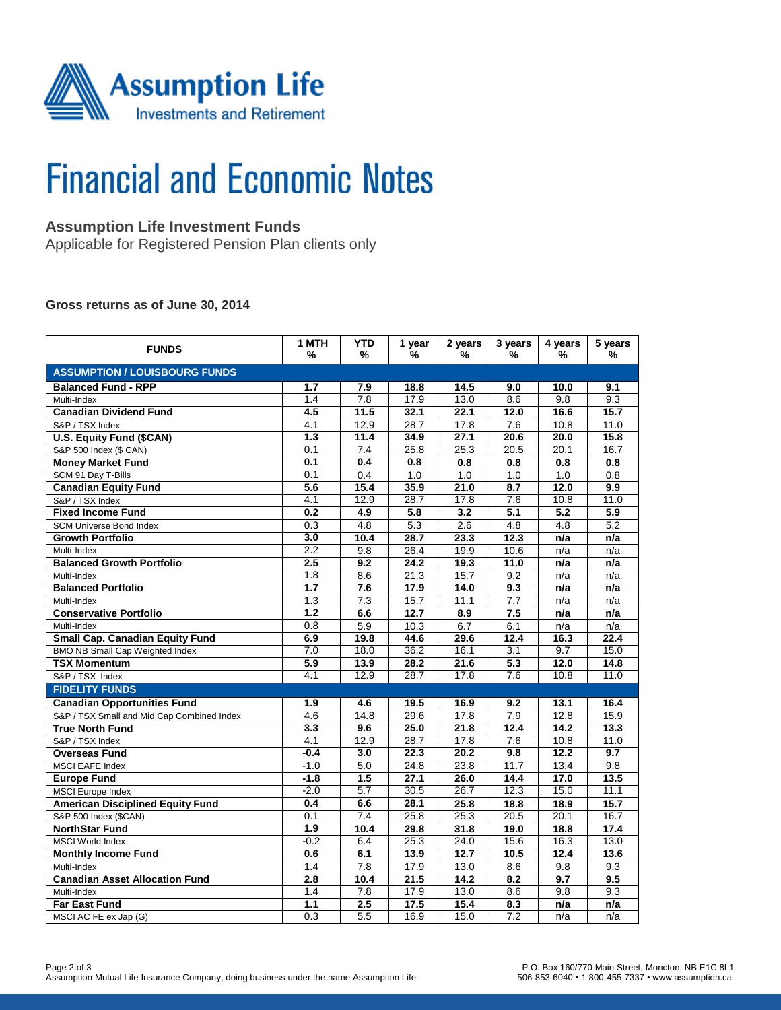

# **Financial and Economic Notes**

# **Assumption Life Investment Funds**

Applicable for Registered Pension Plan clients only

#### **Gross returns as of June 30, 2014**

| <b>FUNDS</b>                               | 1 MTH<br>%       | <b>YTD</b><br>% | 1 year<br>% | 2 years<br>% | 3 years<br>%     | 4 years<br>%     | 5 years<br>% |  |  |  |  |
|--------------------------------------------|------------------|-----------------|-------------|--------------|------------------|------------------|--------------|--|--|--|--|
| <b>ASSUMPTION / LOUISBOURG FUNDS</b>       |                  |                 |             |              |                  |                  |              |  |  |  |  |
| <b>Balanced Fund - RPP</b>                 | 1.7              | 7.9             | 18.8        | 14.5         | 9.0              | 10.0             | 9.1          |  |  |  |  |
| Multi-Index                                | 1.4              | 7.8             | 17.9        | 13.0         | 8.6              | 9.8              | 9.3          |  |  |  |  |
| <b>Canadian Dividend Fund</b>              | 4.5              | 11.5            | 32.1        | 22.1         | 12.0             | 16.6             | 15.7         |  |  |  |  |
| S&P / TSX Index                            | 4.1              | 12.9            | 28.7        | 17.8         | 7.6              | 10.8             | 11.0         |  |  |  |  |
| <b>U.S. Equity Fund (\$CAN)</b>            | 1.3              | 11.4            | 34.9        | 27.1         | 20.6             | 20.0             | 15.8         |  |  |  |  |
| S&P 500 Index (\$ CAN)                     | 0.1              | 7.4             | 25.8        | 25.3         | 20.5             | 20.1             | 16.7         |  |  |  |  |
| <b>Money Market Fund</b>                   | 0.1              | 0.4             | 0.8         | 0.8          | 0.8              | 0.8              | 0.8          |  |  |  |  |
| SCM 91 Day T-Bills                         | 0.1              | 0.4             | 1.0         | 1.0          | 1.0              | 1.0              | 0.8          |  |  |  |  |
| <b>Canadian Equity Fund</b>                | 5.6              | 15.4            | 35.9        | 21.0         | 8.7              | 12.0             | 9.9          |  |  |  |  |
| S&P / TSX Index                            | 4.1              | 12.9            | 28.7        | 17.8         | 7.6              | 10.8             | 11.0         |  |  |  |  |
| <b>Fixed Income Fund</b>                   | 0.2              | 4.9             | 5.8         | 3.2          | $\overline{5.1}$ | $\overline{5.2}$ | 5.9          |  |  |  |  |
| <b>SCM Universe Bond Index</b>             | 0.3              | 4.8             | 5.3         | 2.6          | 4.8              | 4.8              | 5.2          |  |  |  |  |
| <b>Growth Portfolio</b>                    | 3.0              | 10.4            | 28.7        | 23.3         | 12.3             | n/a              | n/a          |  |  |  |  |
| Multi-Index                                | 2.2              | 9.8             | 26.4        | 19.9         | 10.6             | n/a              | n/a          |  |  |  |  |
| <b>Balanced Growth Portfolio</b>           | 2.5              | 9.2             | 24.2        | 19.3         | 11.0             | n/a              | n/a          |  |  |  |  |
| Multi-Index                                | 1.8              | 8.6             | 21.3        | 15.7         | 9.2              | n/a              | n/a          |  |  |  |  |
| <b>Balanced Portfolio</b>                  | 1.7              | 7.6             | 17.9        | 14.0         | 9.3              | n/a              | n/a          |  |  |  |  |
| Multi-Index                                | 1.3              | 7.3             | 15.7        | 11.1         | 7.7              | n/a              | n/a          |  |  |  |  |
| <b>Conservative Portfolio</b>              | $\overline{1.2}$ | 6.6             | 12.7        | 8.9          | 7.5              | n/a              | n/a          |  |  |  |  |
| Multi-Index                                | 0.8              | 5.9             | 10.3        | 6.7          | 6.1              | n/a              | n/a          |  |  |  |  |
| Small Cap. Canadian Equity Fund            | 6.9              | 19.8            | 44.6        | 29.6         | 12.4             | 16.3             | 22.4         |  |  |  |  |
| <b>BMO NB Small Cap Weighted Index</b>     | 7.0              | 18.0            | 36.2        | 16.1         | $\overline{3.1}$ | 9.7              | 15.0         |  |  |  |  |
| <b>TSX Momentum</b>                        | 5.9              | 13.9            | 28.2        | 21.6         | 5.3              | 12.0             | 14.8         |  |  |  |  |
| S&P / TSX Index                            | 4.1              | 12.9            | 28.7        | 17.8         | 7.6              | 10.8             | 11.0         |  |  |  |  |
| <b>FIDELITY FUNDS</b>                      |                  |                 |             |              |                  |                  |              |  |  |  |  |
| <b>Canadian Opportunities Fund</b>         | 1.9              | 4.6             | 19.5        | 16.9         | 9.2              | 13.1             | 16.4         |  |  |  |  |
| S&P / TSX Small and Mid Cap Combined Index | 4.6              | 14.8            | 29.6        | 17.8         | 7.9              | 12.8             | 15.9         |  |  |  |  |
| <b>True North Fund</b>                     | 3.3              | 9.6             | 25.0        | 21.8         | 12.4             | 14.2             | 13.3         |  |  |  |  |
| S&P / TSX Index                            | 4.1              | 12.9            | 28.7        | 17.8         | 7.6              | 10.8             | 11.0         |  |  |  |  |
| <b>Overseas Fund</b>                       | $-0.4$           | 3.0             | 22.3        | 20.2         | 9.8              | 12.2             | 9.7          |  |  |  |  |
| <b>MSCI EAFE Index</b>                     | $-1.0$           | 5.0             | 24.8        | 23.8         | 11.7             | 13.4             | 9.8          |  |  |  |  |
| <b>Europe Fund</b>                         | $-1.8$           | 1.5             | 27.1        | 26.0         | 14.4             | 17.0             | 13.5         |  |  |  |  |
| <b>MSCI</b> Europe Index                   | $-2.0$           | 5.7             | 30.5        | 26.7         | 12.3             | 15.0             | 11.1         |  |  |  |  |
| <b>American Disciplined Equity Fund</b>    | 0.4              | 6.6             | 28.1        | 25.8         | 18.8             | 18.9             | 15.7         |  |  |  |  |
| S&P 500 Index (\$CAN)                      | 0.1              | 7.4             | 25.8        | 25.3         | 20.5             | 20.1             | 16.7         |  |  |  |  |
| <b>NorthStar Fund</b>                      | 1.9              | 10.4            | 29.8        | 31.8         | 19.0             | 18.8             | 17.4         |  |  |  |  |
| <b>MSCI World Index</b>                    | $-0.2$           | 6.4             | 25.3        | 24.0         | 15.6             | 16.3             | 13.0         |  |  |  |  |
| <b>Monthly Income Fund</b>                 | 0.6              | 6.1             | 13.9        | 12.7         | 10.5             | 12.4             | 13.6         |  |  |  |  |
| Multi-Index                                | 1.4              | 7.8             | 17.9        | 13.0         | 8.6              | 9.8              | 9.3          |  |  |  |  |
| <b>Canadian Asset Allocation Fund</b>      | 2.8              | 10.4            | 21.5        | 14.2         | 8.2              | $\overline{9.7}$ | 9.5          |  |  |  |  |
| Multi-Index                                | 1.4              | 7.8             | 17.9        | 13.0         | 8.6              | 9.8              | 9.3          |  |  |  |  |
| <b>Far East Fund</b>                       | 1.1              | 2.5             | 17.5        | 15.4         | 8.3              | n/a              | n/a          |  |  |  |  |
| MSCI AC FE ex Jap (G)                      | 0.3              | 5.5             | 16.9        | 15.0         | 7.2              | n/a              | n/a          |  |  |  |  |